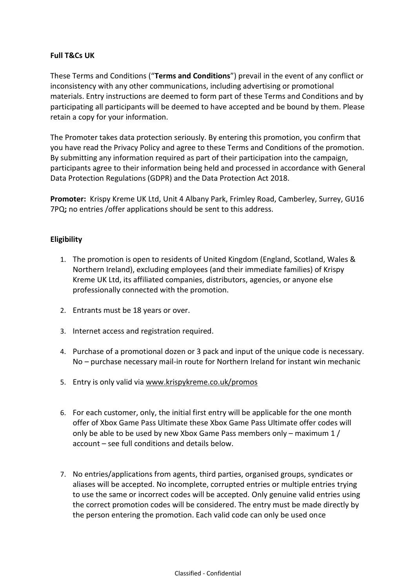# **Full T&Cs UK**

These Terms and Conditions ("**Terms and Conditions**") prevail in the event of any conflict or inconsistency with any other communications, including advertising or promotional materials. Entry instructions are deemed to form part of these Terms and Conditions and by participating all participants will be deemed to have accepted and be bound by them. Please retain a copy for your information.

The Promoter takes data protection seriously. By entering this promotion, you confirm that you have read the Privacy Policy and agree to these Terms and Conditions of the promotion. By submitting any information required as part of their participation into the campaign, participants agree to their information being held and processed in accordance with General Data Protection Regulations (GDPR) and the Data Protection Act 2018.

**Promoter:** Krispy Kreme UK Ltd, Unit 4 Albany Park, Frimley Road, Camberley, Surrey, GU16 7PQ**;** no entries /offer applications should be sent to this address.

# **Eligibility**

- 1. The promotion is open to residents of United Kingdom (England, Scotland, Wales & Northern Ireland), excluding employees (and their immediate families) of Krispy Kreme UK Ltd, its affiliated companies, distributors, agencies, or anyone else professionally connected with the promotion.
- 2. Entrants must be 18 years or over.
- 3. Internet access and registration required.
- 4. Purchase of a promotional dozen or 3 pack and input of the unique code is necessary. No – purchase necessary mail-in route for Northern Ireland for instant win mechanic
- 5. Entry is only valid vi[a www.krispykreme.co.uk/promos](http://www.krispykreme.co.uk/promos)
- 6. For each customer, only, the initial first entry will be applicable for the one month offer of Xbox Game Pass Ultimate these Xbox Game Pass Ultimate offer codes will only be able to be used by new Xbox Game Pass members only – maximum 1 / account – see full conditions and details below.
- 7. No entries/applications from agents, third parties, organised groups, syndicates or aliases will be accepted. No incomplete, corrupted entries or multiple entries trying to use the same or incorrect codes will be accepted. Only genuine valid entries using the correct promotion codes will be considered. The entry must be made directly by the person entering the promotion. Each valid code can only be used once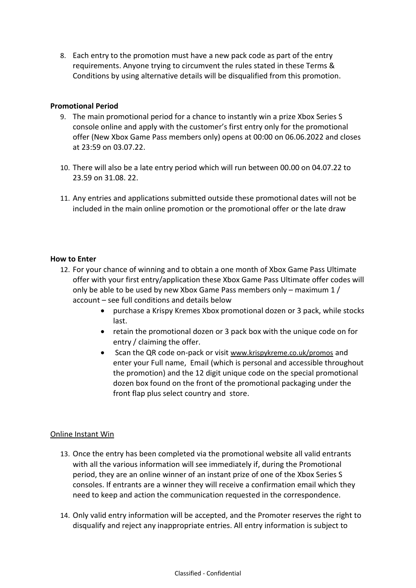8. Each entry to the promotion must have a new pack code as part of the entry requirements. Anyone trying to circumvent the rules stated in these Terms & Conditions by using alternative details will be disqualified from this promotion.

# **Promotional Period**

- 9. The main promotional period for a chance to instantly win a prize Xbox Series S console online and apply with the customer's first entry only for the promotional offer (New Xbox Game Pass members only) opens at 00:00 on 06.06.2022 and closes at 23:59 on 03.07.22.
- 10. There will also be a late entry period which will run between 00.00 on 04.07.22 to 23.59 on 31.08. 22.
- 11. Any entries and applications submitted outside these promotional dates will not be included in the main online promotion or the promotional offer or the late draw

# **How to Enter**

- 12. For your chance of winning and to obtain a one month of Xbox Game Pass Ultimate offer with your first entry/application these Xbox Game Pass Ultimate offer codes will only be able to be used by new Xbox Game Pass members only – maximum 1 / account – see full conditions and details below
	- purchase a Krispy Kremes Xbox promotional dozen or 3 pack, while stocks last.
	- retain the promotional dozen or 3 pack box with the unique code on for entry / claiming the offer.
	- Scan the QR code on-pack or visit [www.krispykreme.co.uk/](http://www.krispykreme.co.uk/)promos and enter your Full name, Email (which is personal and accessible throughout the promotion) and the 12 digit unique code on the special promotional dozen box found on the front of the promotional packaging under the front flap plus select country and store.

# Online Instant Win

- 13. Once the entry has been completed via the promotional website all valid entrants with all the various information will see immediately if, during the Promotional period, they are an online winner of an instant prize of one of the Xbox Series S consoles. If entrants are a winner they will receive a confirmation email which they need to keep and action the communication requested in the correspondence.
- 14. Only valid entry information will be accepted, and the Promoter reserves the right to disqualify and reject any inappropriate entries. All entry information is subject to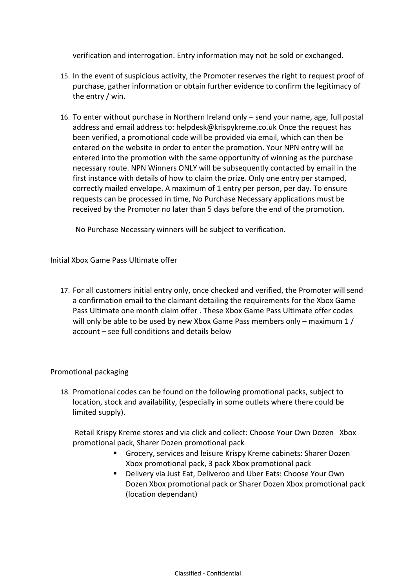verification and interrogation. Entry information may not be sold or exchanged.

- 15. In the event of suspicious activity, the Promoter reserves the right to request proof of purchase, gather information or obtain further evidence to confirm the legitimacy of the entry / win.
- 16. To enter without purchase in Northern Ireland only send your name, age, full postal address and email address to: helpdesk@krispykreme.co.uk Once the request has been verified, a promotional code will be provided via email, which can then be entered on the website in order to enter the promotion. Your NPN entry will be entered into the promotion with the same opportunity of winning as the purchase necessary route. NPN Winners ONLY will be subsequently contacted by email in the first instance with details of how to claim the prize. Only one entry per stamped, correctly mailed envelope. A maximum of 1 entry per person, per day. To ensure requests can be processed in time, No Purchase Necessary applications must be received by the Promoter no later than 5 days before the end of the promotion.

No Purchase Necessary winners will be subject to verification.

# Initial Xbox Game Pass Ultimate offer

17. For all customers initial entry only, once checked and verified, the Promoter will send a confirmation email to the claimant detailing the requirements for the Xbox Game Pass Ultimate one month claim offer . These Xbox Game Pass Ultimate offer codes will only be able to be used by new Xbox Game Pass members only – maximum 1 / account – see full conditions and details below

# Promotional packaging

18. Promotional codes can be found on the following promotional packs, subject to location, stock and availability, (especially in some outlets where there could be limited supply).

Retail Krispy Kreme stores and via click and collect: Choose Your Own Dozen Xbox promotional pack, Sharer Dozen promotional pack

- Grocery, services and leisure Krispy Kreme cabinets: Sharer Dozen Xbox promotional pack, 3 pack Xbox promotional pack
- Delivery via Just Eat, Deliveroo and Uber Eats: Choose Your Own Dozen Xbox promotional pack or Sharer Dozen Xbox promotional pack (location dependant)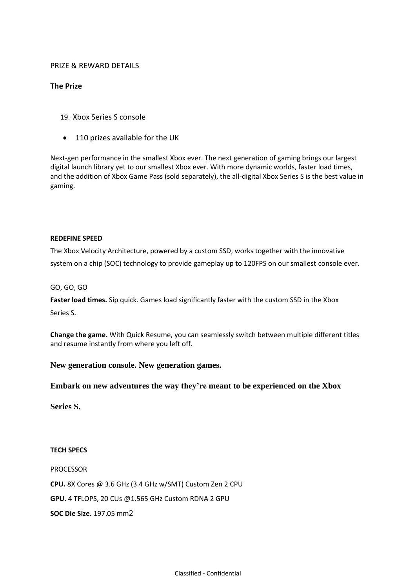### PRIZE & REWARD DETAILS

### **The Prize**

- 19. Xbox Series S console
- 110 prizes available for the UK

Next-gen performance in the smallest Xbox ever. The next generation of gaming brings our largest digital launch library yet to our smallest Xbox ever. With more dynamic worlds, faster load times, and the addition of Xbox Game Pass (sold separately), the all-digital Xbox Series S is the best value in gaming.

#### **REDEFINE SPEED**

The Xbox Velocity Architecture, powered by a custom SSD, works together with the innovative system on a chip (SOC) technology to provide gameplay up to 120FPS on our smallest console ever.

#### GO, GO, GO

**Faster load times.** Sip quick. Games load significantly faster with the custom SSD in the Xbox Series S.

**Change the game.** With Quick Resume, you can seamlessly switch between multiple different titles and resume instantly from where you left off.

#### **New generation console. New generation games.**

#### **Embark on new adventures the way they're meant to be experienced on the Xbox**

**Series S.**

### **TECH SPECS**

PROCESSOR

**CPU.** 8X Cores @ 3.6 GHz (3.4 GHz w/SMT) Custom Zen 2 CPU

**GPU.** 4 TFLOPS, 20 CUs @1.565 GHz Custom RDNA 2 GPU

**SOC Die Size.** 197.05 mm[2](https://www.xbox.com/en-GB/consoles/xbox-series-s#legal2)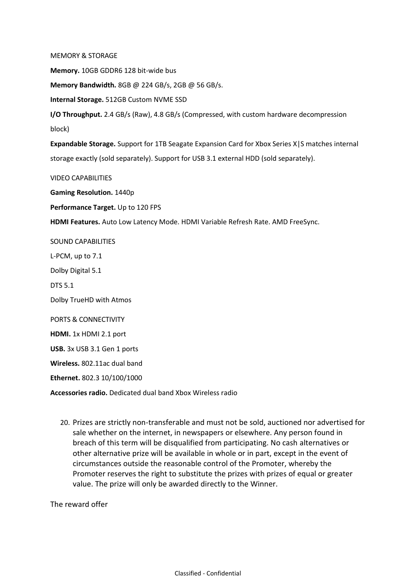MEMORY & STORAGE

**Memory.** 10GB GDDR6 128 bit-wide bus

**Memory Bandwidth.** 8GB @ 224 GB/s, 2GB @ 56 GB/s.

**Internal Storage.** 512GB Custom NVME SSD

**I/O Throughput.** 2.4 GB/s (Raw), 4.8 GB/s (Compressed, with custom hardware decompression block)

**Expandable Storage.** Support for 1TB Seagate Expansion Card for Xbox Series X|S matches internal storage exactly (sold separately). Support for USB 3.1 external HDD (sold separately).

VIDEO CAPABILITIES

**Gaming Resolution.** 1440p

**Performance Target.** Up to 120 FPS

**HDMI Features.** Auto Low Latency Mode. HDMI Variable Refresh Rate. AMD FreeSync.

SOUND CAPABILITIES

L-PCM, up to 7.1

Dolby Digital 5.1

DTS 5.1

Dolby TrueHD with Atmos

PORTS & CONNECTIVITY

**HDMI.** 1x HDMI 2.1 port

**USB.** 3x USB 3.1 Gen 1 ports

**Wireless.** 802.11ac dual band

**Ethernet.** 802.3 10/100/1000

**Accessories radio.** Dedicated dual band Xbox Wireless radio

20. Prizes are strictly non-transferable and must not be sold, auctioned nor advertised for sale whether on the internet, in newspapers or elsewhere. Any person found in breach of this term will be disqualified from participating. No cash alternatives or other alternative prize will be available in whole or in part, except in the event of circumstances outside the reasonable control of the Promoter, whereby the Promoter reserves the right to substitute the prizes with prizes of equal or greater value. The prize will only be awarded directly to the Winner.

The reward offer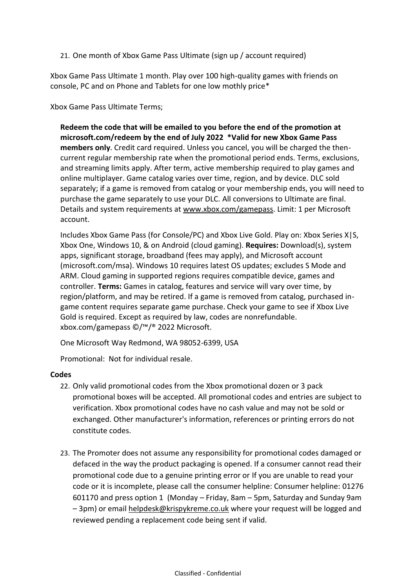# 21. One month of Xbox Game Pass Ultimate (sign up / account required)

Xbox Game Pass Ultimate 1 month. Play over 100 high-quality games with friends on console, PC and on Phone and Tablets for one low mothly price\*

Xbox Game Pass Ultimate Terms;

**Redeem the code that will be emailed to you before the end of the promotion at microsoft.com/redeem by the end of July 2022 \*Valid for new Xbox Game Pass members only**. Credit card required. Unless you cancel, you will be charged the thencurrent regular membership rate when the promotional period ends. Terms, exclusions, and streaming limits apply. After term, active membership required to play games and online multiplayer. Game catalog varies over time, region, and by device. DLC sold separately; if a game is removed from catalog or your membership ends, you will need to purchase the game separately to use your DLC. All conversions to Ultimate are final. Details and system requirements at [www.xbox.com/gamepass.](http://www.xbox.com/gamepass) Limit: 1 per Microsoft account.

Includes Xbox Game Pass (for Console/PC) and Xbox Live Gold. Play on: Xbox Series X|S, Xbox One, Windows 10, & on Android (cloud gaming). **Requires:** Download(s), system apps, significant storage, broadband (fees may apply), and Microsoft account (microsoft.com/msa). Windows 10 requires latest OS updates; excludes S Mode and ARM. Cloud gaming in supported regions requires compatible device, games and controller. **Terms:** Games in catalog, features and service will vary over time, by region/platform, and may be retired. If a game is removed from catalog, purchased ingame content requires separate game purchase. Check your game to see if Xbox Live Gold is required. Except as required by law, codes are nonrefundable. xbox.com/gamepass ©/™/® 2022 Microsoft.

One Microsoft Way Redmond, WA 98052-6399, USA

Promotional: Not for individual resale.

# **Codes**

- 22. Only valid promotional codes from the Xbox promotional dozen or 3 pack promotional boxes will be accepted. All promotional codes and entries are subject to verification. Xbox promotional codes have no cash value and may not be sold or exchanged. Other manufacturer's information, references or printing errors do not constitute codes.
- 23. The Promoter does not assume any responsibility for promotional codes damaged or defaced in the way the product packaging is opened. If a consumer cannot read their promotional code due to a genuine printing error or If you are unable to read your code or it is incomplete, please call the consumer helpline: Consumer helpline: 01276 601170 and press option 1 (Monday – Friday, 8am – 5pm, Saturday and Sunday 9am – 3pm) or email [helpdesk@krispykreme.co.uk](mailto:helpdesk@krispykreme.co.uk) where your request will be logged and reviewed pending a replacement code being sent if valid.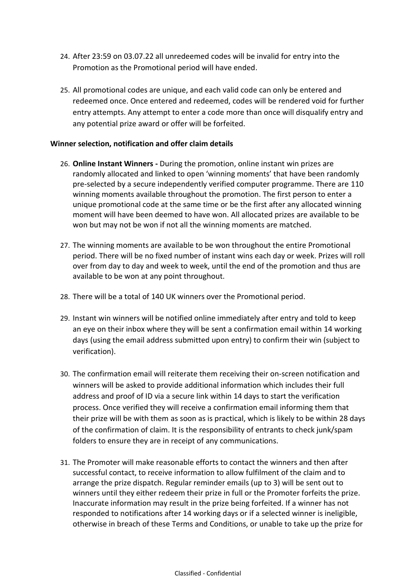- 24. After 23:59 on 03.07.22 all unredeemed codes will be invalid for entry into the Promotion as the Promotional period will have ended.
- 25. All promotional codes are unique, and each valid code can only be entered and redeemed once. Once entered and redeemed, codes will be rendered void for further entry attempts. Any attempt to enter a code more than once will disqualify entry and any potential prize award or offer will be forfeited.

# **Winner selection, notification and offer claim details**

- 26. **Online Instant Winners -** During the promotion, online instant win prizes are randomly allocated and linked to open 'winning moments' that have been randomly pre-selected by a secure independently verified computer programme. There are 110 winning moments available throughout the promotion. The first person to enter a unique promotional code at the same time or be the first after any allocated winning moment will have been deemed to have won. All allocated prizes are available to be won but may not be won if not all the winning moments are matched.
- 27. The winning moments are available to be won throughout the entire Promotional period. There will be no fixed number of instant wins each day or week. Prizes will roll over from day to day and week to week, until the end of the promotion and thus are available to be won at any point throughout.
- 28. There will be a total of 140 UK winners over the Promotional period.
- 29. Instant win winners will be notified online immediately after entry and told to keep an eye on their inbox where they will be sent a confirmation email within 14 working days (using the email address submitted upon entry) to confirm their win (subject to verification).
- 30. The confirmation email will reiterate them receiving their on-screen notification and winners will be asked to provide additional information which includes their full address and proof of ID via a secure link within 14 days to start the verification process. Once verified they will receive a confirmation email informing them that their prize will be with them as soon as is practical, which is likely to be within 28 days of the confirmation of claim. It is the responsibility of entrants to check junk/spam folders to ensure they are in receipt of any communications.
- 31. The Promoter will make reasonable efforts to contact the winners and then after successful contact, to receive information to allow fulfilment of the claim and to arrange the prize dispatch. Regular reminder emails (up to 3) will be sent out to winners until they either redeem their prize in full or the Promoter forfeits the prize. Inaccurate information may result in the prize being forfeited. If a winner has not responded to notifications after 14 working days or if a selected winner is ineligible, otherwise in breach of these Terms and Conditions, or unable to take up the prize for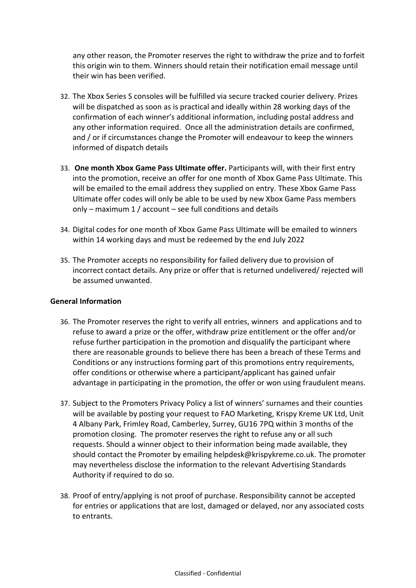any other reason, the Promoter reserves the right to withdraw the prize and to forfeit this origin win to them. Winners should retain their notification email message until their win has been verified.

- 32. The Xbox Series S consoles will be fulfilled via secure tracked courier delivery. Prizes will be dispatched as soon as is practical and ideally within 28 working days of the confirmation of each winner's additional information, including postal address and any other information required. Once all the administration details are confirmed, and / or if circumstances change the Promoter will endeavour to keep the winners informed of dispatch details
- 33. **One month Xbox Game Pass Ultimate offer.** Participants will, with their first entry into the promotion, receive an offer for one month of Xbox Game Pass Ultimate. This will be emailed to the email address they supplied on entry. These Xbox Game Pass Ultimate offer codes will only be able to be used by new Xbox Game Pass members only – maximum 1 / account – see full conditions and details
- 34. Digital codes for one month of Xbox Game Pass Ultimate will be emailed to winners within 14 working days and must be redeemed by the end July 2022
- 35. The Promoter accepts no responsibility for failed delivery due to provision of incorrect contact details. Any prize or offer that is returned undelivered/ rejected will be assumed unwanted.

# **General Information**

- 36. The Promoter reserves the right to verify all entries, winners and applications and to refuse to award a prize or the offer, withdraw prize entitlement or the offer and/or refuse further participation in the promotion and disqualify the participant where there are reasonable grounds to believe there has been a breach of these Terms and Conditions or any instructions forming part of this promotions entry requirements, offer conditions or otherwise where a participant/applicant has gained unfair advantage in participating in the promotion, the offer or won using fraudulent means.
- 37. Subject to the Promoters Privacy Policy a list of winners' surnames and their counties will be available by posting your request to FAO Marketing, Krispy Kreme UK Ltd, Unit 4 Albany Park, Frimley Road, Camberley, Surrey, GU16 7PQ within 3 months of the promotion closing. The promoter reserves the right to refuse any or all such requests. Should a winner object to their information being made available, they should contact the Promoter by emailing helpdesk@krispykreme.co.uk. The promoter may nevertheless disclose the information to the relevant Advertising Standards Authority if required to do so.
- 38. Proof of entry/applying is not proof of purchase. Responsibility cannot be accepted for entries or applications that are lost, damaged or delayed, nor any associated costs to entrants.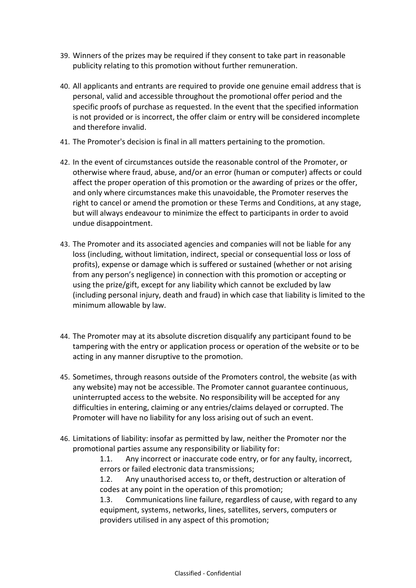- 39. Winners of the prizes may be required if they consent to take part in reasonable publicity relating to this promotion without further remuneration.
- 40. All applicants and entrants are required to provide one genuine email address that is personal, valid and accessible throughout the promotional offer period and the specific proofs of purchase as requested. In the event that the specified information is not provided or is incorrect, the offer claim or entry will be considered incomplete and therefore invalid.
- 41. The Promoter's decision is final in all matters pertaining to the promotion.
- 42. In the event of circumstances outside the reasonable control of the Promoter, or otherwise where fraud, abuse, and/or an error (human or computer) affects or could affect the proper operation of this promotion or the awarding of prizes or the offer, and only where circumstances make this unavoidable, the Promoter reserves the right to cancel or amend the promotion or these Terms and Conditions, at any stage, but will always endeavour to minimize the effect to participants in order to avoid undue disappointment.
- 43. The Promoter and its associated agencies and companies will not be liable for any loss (including, without limitation, indirect, special or consequential loss or loss of profits), expense or damage which is suffered or sustained (whether or not arising from any person's negligence) in connection with this promotion or accepting or using the prize/gift, except for any liability which cannot be excluded by law (including personal injury, death and fraud) in which case that liability is limited to the minimum allowable by law.
- 44. The Promoter may at its absolute discretion disqualify any participant found to be tampering with the entry or application process or operation of the website or to be acting in any manner disruptive to the promotion.
- 45. Sometimes, through reasons outside of the Promoters control, the website (as with any website) may not be accessible. The Promoter cannot guarantee continuous, uninterrupted access to the website. No responsibility will be accepted for any difficulties in entering, claiming or any entries/claims delayed or corrupted. The Promoter will have no liability for any loss arising out of such an event.
- 46. Limitations of liability: insofar as permitted by law, neither the Promoter nor the promotional parties assume any responsibility or liability for:

1.1. Any incorrect or inaccurate code entry, or for any faulty, incorrect, errors or failed electronic data transmissions;

1.2. Any unauthorised access to, or theft, destruction or alteration of codes at any point in the operation of this promotion;

1.3. Communications line failure, regardless of cause, with regard to any equipment, systems, networks, lines, satellites, servers, computers or providers utilised in any aspect of this promotion;